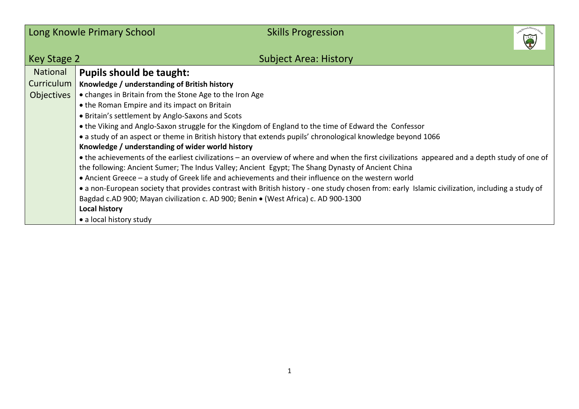|                   | Long Knowle Primary School<br><b>Skills Progression</b>                                                                                        |  |  |  |  |  |
|-------------------|------------------------------------------------------------------------------------------------------------------------------------------------|--|--|--|--|--|
| Key Stage 2       | <b>Subject Area: History</b>                                                                                                                   |  |  |  |  |  |
| National          | <b>Pupils should be taught:</b>                                                                                                                |  |  |  |  |  |
| Curriculum        | Knowledge / understanding of British history                                                                                                   |  |  |  |  |  |
| <b>Objectives</b> | • changes in Britain from the Stone Age to the Iron Age                                                                                        |  |  |  |  |  |
|                   | • the Roman Empire and its impact on Britain                                                                                                   |  |  |  |  |  |
|                   | • Britain's settlement by Anglo-Saxons and Scots                                                                                               |  |  |  |  |  |
|                   | • the Viking and Anglo-Saxon struggle for the Kingdom of England to the time of Edward the Confessor                                           |  |  |  |  |  |
|                   | • a study of an aspect or theme in British history that extends pupils' chronological knowledge beyond 1066                                    |  |  |  |  |  |
|                   | Knowledge / understanding of wider world history                                                                                               |  |  |  |  |  |
|                   | • the achievements of the earliest civilizations – an overview of where and when the first civilizations appeared and a depth study of one of  |  |  |  |  |  |
|                   | the following: Ancient Sumer; The Indus Valley; Ancient Egypt; The Shang Dynasty of Ancient China                                              |  |  |  |  |  |
|                   | • Ancient Greece - a study of Greek life and achievements and their influence on the western world                                             |  |  |  |  |  |
|                   | • a non-European society that provides contrast with British history - one study chosen from: early Islamic civilization, including a study of |  |  |  |  |  |
|                   | Bagdad c.AD 900; Mayan civilization c. AD 900; Benin • (West Africa) c. AD 900-1300                                                            |  |  |  |  |  |
|                   | <b>Local history</b>                                                                                                                           |  |  |  |  |  |
|                   | • a local history study                                                                                                                        |  |  |  |  |  |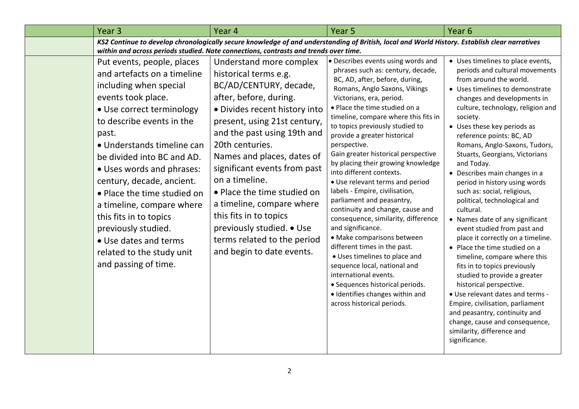| Year <sub>3</sub>                                                                                                                                                                                                                                                                                                                                                                                                                                                                             | Year 4                                                                                                                                                                                                                                                                                                                                                                                                                                                                                                                                                                         | Year <sub>5</sub>                                                                                                                                                                                                                                                                                                                                                                                                                                                                                                                                                                                                                                                                                                                                                                                                                                                                                         | Year <sub>6</sub>                                                                                                                                                                                                                                                                                                                                                                                                                                                                                                                                                                                                                                                                                                                                                                                                                                                                                                                                                       |
|-----------------------------------------------------------------------------------------------------------------------------------------------------------------------------------------------------------------------------------------------------------------------------------------------------------------------------------------------------------------------------------------------------------------------------------------------------------------------------------------------|--------------------------------------------------------------------------------------------------------------------------------------------------------------------------------------------------------------------------------------------------------------------------------------------------------------------------------------------------------------------------------------------------------------------------------------------------------------------------------------------------------------------------------------------------------------------------------|-----------------------------------------------------------------------------------------------------------------------------------------------------------------------------------------------------------------------------------------------------------------------------------------------------------------------------------------------------------------------------------------------------------------------------------------------------------------------------------------------------------------------------------------------------------------------------------------------------------------------------------------------------------------------------------------------------------------------------------------------------------------------------------------------------------------------------------------------------------------------------------------------------------|-------------------------------------------------------------------------------------------------------------------------------------------------------------------------------------------------------------------------------------------------------------------------------------------------------------------------------------------------------------------------------------------------------------------------------------------------------------------------------------------------------------------------------------------------------------------------------------------------------------------------------------------------------------------------------------------------------------------------------------------------------------------------------------------------------------------------------------------------------------------------------------------------------------------------------------------------------------------------|
| KS2 Continue to develop chronologically secure knowledge of and understanding of British, local and World History. Establish clear narratives                                                                                                                                                                                                                                                                                                                                                 |                                                                                                                                                                                                                                                                                                                                                                                                                                                                                                                                                                                |                                                                                                                                                                                                                                                                                                                                                                                                                                                                                                                                                                                                                                                                                                                                                                                                                                                                                                           |                                                                                                                                                                                                                                                                                                                                                                                                                                                                                                                                                                                                                                                                                                                                                                                                                                                                                                                                                                         |
| Put events, people, places<br>and artefacts on a timeline<br>including when special<br>events took place.<br>• Use correct terminology<br>to describe events in the<br>past.<br>• Understands timeline can<br>be divided into BC and AD.<br>• Uses words and phrases:<br>century, decade, ancient.<br>• Place the time studied on<br>a timeline, compare where<br>this fits in to topics<br>previously studied.<br>• Use dates and terms<br>related to the study unit<br>and passing of time. | within and across periods studied. Note connections, contrasts and trends over time.<br>Understand more complex<br>historical terms e.g.<br>BC/AD/CENTURY, decade,<br>after, before, during.<br>· Divides recent history into<br>present, using 21st century,<br>and the past using 19th and<br>20th centuries.<br>Names and places, dates of<br>significant events from past<br>on a timeline.<br>• Place the time studied on<br>a timeline, compare where<br>this fits in to topics<br>previously studied. • Use<br>terms related to the period<br>and begin to date events. | • Describes events using words and<br>phrases such as: century, decade,<br>BC, AD, after, before, during,<br>Romans, Anglo Saxons, Vikings<br>Victorians, era, period.<br>. Place the time studied on a<br>timeline, compare where this fits in<br>to topics previously studied to<br>provide a greater historical<br>perspective.<br>Gain greater historical perspective<br>by placing their growing knowledge<br>into different contexts.<br>• Use relevant terms and period<br>labels - Empire, civilisation,<br>parliament and peasantry,<br>continuity and change, cause and<br>consequence, similarity, difference<br>and significance.<br>• Make comparisons between<br>different times in the past.<br>• Uses timelines to place and<br>sequence local, national and<br>international events.<br>· Sequences historical periods.<br>· Identifies changes within and<br>across historical periods. | • Uses timelines to place events,<br>periods and cultural movements<br>from around the world.<br>• Uses timelines to demonstrate<br>changes and developments in<br>culture, technology, religion and<br>society.<br>• Uses these key periods as<br>reference points: BC, AD<br>Romans, Anglo-Saxons, Tudors,<br>Stuarts, Georgians, Victorians<br>and Today.<br>• Describes main changes in a<br>period in history using words<br>such as: social, religious,<br>political, technological and<br>cultural.<br>• Names date of any significant<br>event studied from past and<br>place it correctly on a timeline.<br>• Place the time studied on a<br>timeline, compare where this<br>fits in to topics previously<br>studied to provide a greater<br>historical perspective.<br>• Use relevant dates and terms -<br>Empire, civilisation, parliament<br>and peasantry, continuity and<br>change, cause and consequence,<br>similarity, difference and<br>significance. |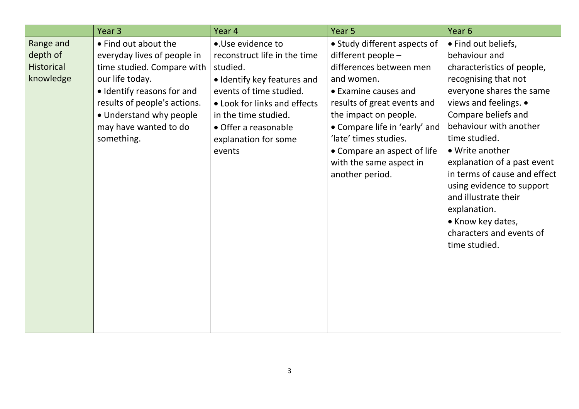|                                                         | Year <sub>3</sub>                                                                                                                                                                                                                      | Year 4                                                                                                                                                                                                                                    | Year <sub>5</sub>                                                                                                                                                                                                                                                                                                  | Year 6                                                                                                                                                                                                                                                                                                                                                                                                                                     |
|---------------------------------------------------------|----------------------------------------------------------------------------------------------------------------------------------------------------------------------------------------------------------------------------------------|-------------------------------------------------------------------------------------------------------------------------------------------------------------------------------------------------------------------------------------------|--------------------------------------------------------------------------------------------------------------------------------------------------------------------------------------------------------------------------------------------------------------------------------------------------------------------|--------------------------------------------------------------------------------------------------------------------------------------------------------------------------------------------------------------------------------------------------------------------------------------------------------------------------------------------------------------------------------------------------------------------------------------------|
| Range and<br>depth of<br><b>Historical</b><br>knowledge | • Find out about the<br>everyday lives of people in<br>time studied. Compare with  <br>our life today.<br>• Identify reasons for and<br>results of people's actions.<br>• Understand why people<br>may have wanted to do<br>something. | •.Use evidence to<br>reconstruct life in the time<br>studied.<br>• Identify key features and<br>events of time studied.<br>• Look for links and effects<br>in the time studied.<br>• Offer a reasonable<br>explanation for some<br>events | • Study different aspects of<br>different people -<br>differences between men<br>and women.<br>• Examine causes and<br>results of great events and<br>the impact on people.<br>• Compare life in 'early' and<br>'late' times studies.<br>• Compare an aspect of life<br>with the same aspect in<br>another period. | • Find out beliefs,<br>behaviour and<br>characteristics of people,<br>recognising that not<br>everyone shares the same<br>views and feelings. •<br>Compare beliefs and<br>behaviour with another<br>time studied.<br>• Write another<br>explanation of a past event<br>in terms of cause and effect<br>using evidence to support<br>and illustrate their<br>explanation.<br>• Know key dates,<br>characters and events of<br>time studied. |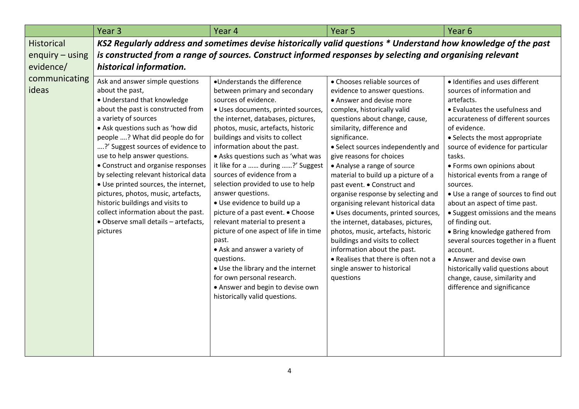|                        | Year <sub>3</sub>                                                                                                                                                                                                                                                                                                                                                                                                                                                                                                                                                                         | Year <sub>4</sub>                                                                                                                                                                                                                                                                                                                                                                                                                                                                                                                                                                                                                                                                                                                                                                           | Year <sub>5</sub>                                                                                                                                                                                                                                                                                                                                                                                                                                                                                                                                                                                                                                                                                                                      | Year <sub>6</sub>                                                                                                                                                                                                                                                                                                                                                                                                                                                                                                                                                                                                                                                                           |
|------------------------|-------------------------------------------------------------------------------------------------------------------------------------------------------------------------------------------------------------------------------------------------------------------------------------------------------------------------------------------------------------------------------------------------------------------------------------------------------------------------------------------------------------------------------------------------------------------------------------------|---------------------------------------------------------------------------------------------------------------------------------------------------------------------------------------------------------------------------------------------------------------------------------------------------------------------------------------------------------------------------------------------------------------------------------------------------------------------------------------------------------------------------------------------------------------------------------------------------------------------------------------------------------------------------------------------------------------------------------------------------------------------------------------------|----------------------------------------------------------------------------------------------------------------------------------------------------------------------------------------------------------------------------------------------------------------------------------------------------------------------------------------------------------------------------------------------------------------------------------------------------------------------------------------------------------------------------------------------------------------------------------------------------------------------------------------------------------------------------------------------------------------------------------------|---------------------------------------------------------------------------------------------------------------------------------------------------------------------------------------------------------------------------------------------------------------------------------------------------------------------------------------------------------------------------------------------------------------------------------------------------------------------------------------------------------------------------------------------------------------------------------------------------------------------------------------------------------------------------------------------|
| <b>Historical</b>      | KS2 Regularly address and sometimes devise historically valid questions * Understand how knowledge of the past                                                                                                                                                                                                                                                                                                                                                                                                                                                                            |                                                                                                                                                                                                                                                                                                                                                                                                                                                                                                                                                                                                                                                                                                                                                                                             |                                                                                                                                                                                                                                                                                                                                                                                                                                                                                                                                                                                                                                                                                                                                        |                                                                                                                                                                                                                                                                                                                                                                                                                                                                                                                                                                                                                                                                                             |
| enquiry $-$ using      | is constructed from a range of sources. Construct informed responses by selecting and organising relevant                                                                                                                                                                                                                                                                                                                                                                                                                                                                                 |                                                                                                                                                                                                                                                                                                                                                                                                                                                                                                                                                                                                                                                                                                                                                                                             |                                                                                                                                                                                                                                                                                                                                                                                                                                                                                                                                                                                                                                                                                                                                        |                                                                                                                                                                                                                                                                                                                                                                                                                                                                                                                                                                                                                                                                                             |
| evidence/              | historical information.                                                                                                                                                                                                                                                                                                                                                                                                                                                                                                                                                                   |                                                                                                                                                                                                                                                                                                                                                                                                                                                                                                                                                                                                                                                                                                                                                                                             |                                                                                                                                                                                                                                                                                                                                                                                                                                                                                                                                                                                                                                                                                                                                        |                                                                                                                                                                                                                                                                                                                                                                                                                                                                                                                                                                                                                                                                                             |
| communicating<br>ideas | Ask and answer simple questions<br>about the past,<br>• Understand that knowledge<br>about the past is constructed from<br>a variety of sources<br>• Ask questions such as 'how did<br>people ? What did people do for<br>?' Suggest sources of evidence to<br>use to help answer questions.<br>• Construct and organise responses<br>by selecting relevant historical data<br>• Use printed sources, the internet,<br>pictures, photos, music, artefacts,<br>historic buildings and visits to<br>collect information about the past.<br>· Observe small details - artefacts,<br>pictures | •Understands the difference<br>between primary and secondary<br>sources of evidence.<br>· Uses documents, printed sources,<br>the internet, databases, pictures,<br>photos, music, artefacts, historic<br>buildings and visits to collect<br>information about the past.<br>• Asks questions such as 'what was<br>it like for a  during ?' Suggest<br>sources of evidence from a<br>selection provided to use to help<br>answer questions.<br>• Use evidence to build up a<br>picture of a past event. • Choose<br>relevant material to present a<br>picture of one aspect of life in time<br>past.<br>• Ask and answer a variety of<br>questions.<br>• Use the library and the internet<br>for own personal research.<br>• Answer and begin to devise own<br>historically valid questions. | • Chooses reliable sources of<br>evidence to answer questions.<br>• Answer and devise more<br>complex, historically valid<br>questions about change, cause,<br>similarity, difference and<br>significance.<br>• Select sources independently and<br>give reasons for choices<br>• Analyse a range of source<br>material to build up a picture of a<br>past event. • Construct and<br>organise response by selecting and<br>organising relevant historical data<br>· Uses documents, printed sources,<br>the internet, databases, pictures,<br>photos, music, artefacts, historic<br>buildings and visits to collect<br>information about the past.<br>• Realises that there is often not a<br>single answer to historical<br>questions | · Identifies and uses different<br>sources of information and<br>artefacts.<br>• Evaluates the usefulness and<br>accurateness of different sources<br>of evidence.<br>• Selects the most appropriate<br>source of evidence for particular<br>tasks.<br>• Forms own opinions about<br>historical events from a range of<br>sources.<br>• Use a range of sources to find out<br>about an aspect of time past.<br>• Suggest omissions and the means<br>of finding out.<br>• Bring knowledge gathered from<br>several sources together in a fluent<br>account.<br>• Answer and devise own<br>historically valid questions about<br>change, cause, similarity and<br>difference and significance |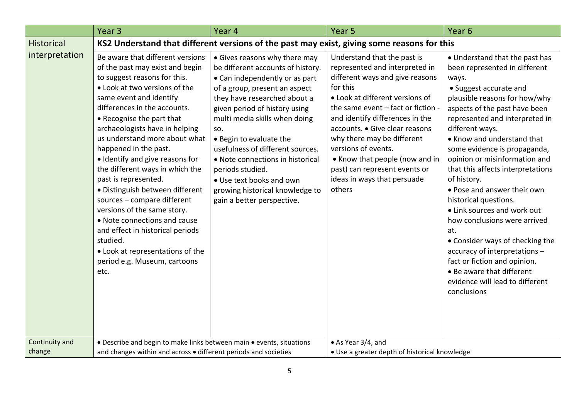|                          | Year <sub>3</sub>                                                                                                                                                                                                                                                                                                                                                                                                                                                                                                                                                                                                                                                                   | Year 4                                                                                                                                                                                                                                                                                                                                                                                                                                                             | Year <sub>5</sub>                                                                                                                                                                                                                                                                                                                                                                                                           | Year <sub>6</sub>                                                                                                                                                                                                                                                                                                                                                                                                                                                                                                                                                                                                                                                                             |
|--------------------------|-------------------------------------------------------------------------------------------------------------------------------------------------------------------------------------------------------------------------------------------------------------------------------------------------------------------------------------------------------------------------------------------------------------------------------------------------------------------------------------------------------------------------------------------------------------------------------------------------------------------------------------------------------------------------------------|--------------------------------------------------------------------------------------------------------------------------------------------------------------------------------------------------------------------------------------------------------------------------------------------------------------------------------------------------------------------------------------------------------------------------------------------------------------------|-----------------------------------------------------------------------------------------------------------------------------------------------------------------------------------------------------------------------------------------------------------------------------------------------------------------------------------------------------------------------------------------------------------------------------|-----------------------------------------------------------------------------------------------------------------------------------------------------------------------------------------------------------------------------------------------------------------------------------------------------------------------------------------------------------------------------------------------------------------------------------------------------------------------------------------------------------------------------------------------------------------------------------------------------------------------------------------------------------------------------------------------|
| <b>Historical</b>        | KS2 Understand that different versions of the past may exist, giving some reasons for this                                                                                                                                                                                                                                                                                                                                                                                                                                                                                                                                                                                          |                                                                                                                                                                                                                                                                                                                                                                                                                                                                    |                                                                                                                                                                                                                                                                                                                                                                                                                             |                                                                                                                                                                                                                                                                                                                                                                                                                                                                                                                                                                                                                                                                                               |
| interpretation           | Be aware that different versions<br>of the past may exist and begin<br>to suggest reasons for this.<br>. Look at two versions of the<br>same event and identify<br>differences in the accounts.<br>• Recognise the part that<br>archaeologists have in helping<br>us understand more about what<br>happened in the past.<br>• Identify and give reasons for<br>the different ways in which the<br>past is represented.<br>· Distinguish between different<br>sources - compare different<br>versions of the same story.<br>• Note connections and cause<br>and effect in historical periods<br>studied.<br>• Look at representations of the<br>period e.g. Museum, cartoons<br>etc. | • Gives reasons why there may<br>be different accounts of history.<br>• Can independently or as part<br>of a group, present an aspect<br>they have researched about a<br>given period of history using<br>multi media skills when doing<br>SO.<br>• Begin to evaluate the<br>usefulness of different sources.<br>• Note connections in historical<br>periods studied.<br>• Use text books and own<br>growing historical knowledge to<br>gain a better perspective. | Understand that the past is<br>represented and interpreted in<br>different ways and give reasons<br>for this<br>• Look at different versions of<br>the same event - fact or fiction -<br>and identify differences in the<br>accounts. • Give clear reasons<br>why there may be different<br>versions of events.<br>• Know that people (now and in<br>past) can represent events or<br>ideas in ways that persuade<br>others | • Understand that the past has<br>been represented in different<br>ways.<br>• Suggest accurate and<br>plausible reasons for how/why<br>aspects of the past have been<br>represented and interpreted in<br>different ways.<br>• Know and understand that<br>some evidence is propaganda,<br>opinion or misinformation and<br>that this affects interpretations<br>of history.<br>• Pose and answer their own<br>historical questions.<br>• Link sources and work out<br>how conclusions were arrived<br>at.<br>• Consider ways of checking the<br>accuracy of interpretations -<br>fact or fiction and opinion.<br>• Be aware that different<br>evidence will lead to different<br>conclusions |
| Continuity and<br>change | • Describe and begin to make links between main • events, situations<br>and changes within and across . different periods and societies                                                                                                                                                                                                                                                                                                                                                                                                                                                                                                                                             |                                                                                                                                                                                                                                                                                                                                                                                                                                                                    | • As Year 3/4, and<br>• Use a greater depth of historical knowledge                                                                                                                                                                                                                                                                                                                                                         |                                                                                                                                                                                                                                                                                                                                                                                                                                                                                                                                                                                                                                                                                               |